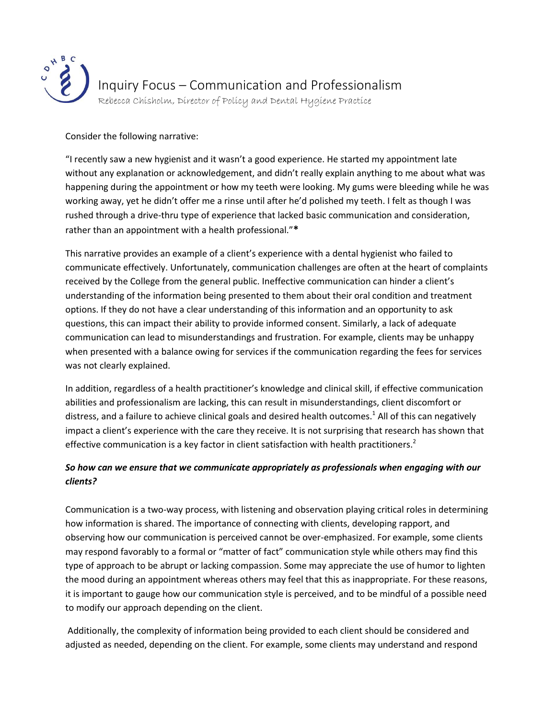

## Consider the following narrative:

"I recently saw a new hygienist and it wasn't a good experience. He started my appointment late without any explanation or acknowledgement, and didn't really explain anything to me about what was happening during the appointment or how my teeth were looking. My gums were bleeding while he was working away, yet he didn't offer me a rinse until after he'd polished my teeth. I felt as though I was rushed through a drive-thru type of experience that lacked basic communication and consideration, rather than an appointment with a health professional."**\***

This narrative provides an example of a client's experience with a dental hygienist who failed to communicate effectively. Unfortunately, communication challenges are often at the heart of complaints received by the College from the general public. Ineffective communication can hinder a client's understanding of the information being presented to them about their oral condition and treatment options. If they do not have a clear understanding of this information and an opportunity to ask questions, this can impact their ability to provide informed consent. Similarly, a lack of adequate communication can lead to misunderstandings and frustration. For example, clients may be unhappy when presented with a balance owing for services if the communication regarding the fees for services was not clearly explained.

In addition, regardless of a health practitioner's knowledge and clinical skill, if effective communication abilities and professionalism are lacking, this can result in misunderstandings, client discomfort or distress, and a failure to achieve clinical goals and desired health outcomes.<sup>1</sup> All of this can negatively impact a client's experience with the care they receive. It is not surprising that research has shown that effective communication is a key factor in client satisfaction with health practitioners.<sup>2</sup>

## *So how can we ensure that we communicate appropriately as professionals when engaging with our clients?*

Communication is a two-way process, with listening and observation playing critical roles in determining how information is shared. The importance of connecting with clients, developing rapport, and observing how our communication is perceived cannot be over-emphasized. For example, some clients may respond favorably to a formal or "matter of fact" communication style while others may find this type of approach to be abrupt or lacking compassion. Some may appreciate the use of humor to lighten the mood during an appointment whereas others may feel that this as inappropriate. For these reasons, it is important to gauge how our communication style is perceived, and to be mindful of a possible need to modify our approach depending on the client.

Additionally, the complexity of information being provided to each client should be considered and adjusted as needed, depending on the client. For example, some clients may understand and respond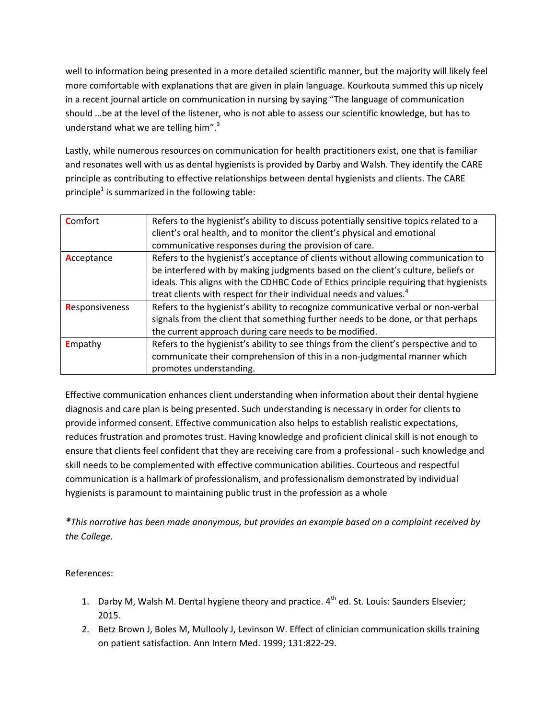well to information being presented in a more detailed scientific manner, but the majority will likely feel more comfortable with explanations that are given in plain language. Kourkouta summed this up nicely in a recent journal article on communication in nursing by saying "The language of communication should …be at the level of the listener, who is not able to assess our scientific knowledge, but has to understand what we are telling him". $3$ 

Lastly, while numerous resources on communication for health practitioners exist, one that is familiar and resonates well with us as dental hygienists is provided by Darby and Walsh. They identify the CARE principle as contributing to effective relationships between dental hygienists and clients. The CARE principle<sup>1</sup> is summarized in the following table:

| <b>Comfort</b>  | Refers to the hygienist's ability to discuss potentially sensitive topics related to a |
|-----------------|----------------------------------------------------------------------------------------|
|                 | client's oral health, and to monitor the client's physical and emotional               |
|                 | communicative responses during the provision of care.                                  |
| Acceptance      | Refers to the hygienist's acceptance of clients without allowing communication to      |
|                 | be interfered with by making judgments based on the client's culture, beliefs or       |
|                 | ideals. This aligns with the CDHBC Code of Ethics principle requiring that hygienists  |
|                 | treat clients with respect for their individual needs and values. <sup>4</sup>         |
| Responsiveness  | Refers to the hygienist's ability to recognize communicative verbal or non-verbal      |
|                 | signals from the client that something further needs to be done, or that perhaps       |
|                 | the current approach during care needs to be modified.                                 |
| <b>E</b> mpathy | Refers to the hygienist's ability to see things from the client's perspective and to   |
|                 | communicate their comprehension of this in a non-judgmental manner which               |
|                 | promotes understanding.                                                                |

Effective communication enhances client understanding when information about their dental hygiene diagnosis and care plan is being presented. Such understanding is necessary in order for clients to provide informed consent. Effective communication also helps to establish realistic expectations, reduces frustration and promotes trust. Having knowledge and proficient clinical skill is not enough to ensure that clients feel confident that they are receiving care from a professional - such knowledge and skill needs to be complemented with effective communication abilities. Courteous and respectful communication is a hallmark of professionalism, and professionalism demonstrated by individual hygienists is paramount to maintaining public trust in the profession as a whole

*\*This narrative has been made anonymous, but provides an example based on a complaint received by the College.* 

References:

- 1. Darby M, Walsh M. Dental hygiene theory and practice.  $4^{th}$  ed. St. Louis: Saunders Elsevier; 2015.
- 2. Betz Brown J, Boles M, Mullooly J, Levinson W. Effect of clinician communication skills training on patient satisfaction. Ann Intern Med. 1999; 131:822-29.